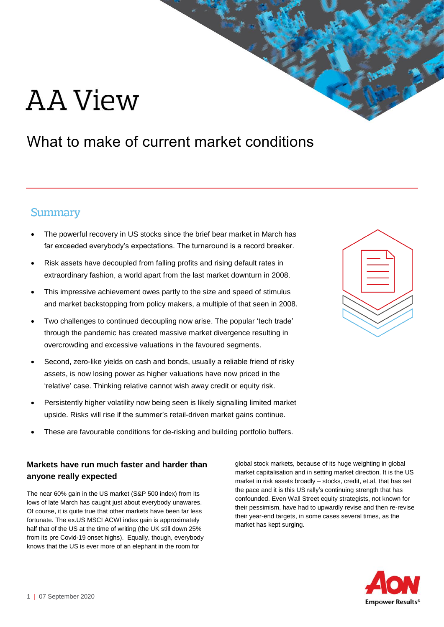# AA View

# What to make of current market conditions

# **Summary**

- The powerful recovery in US stocks since the brief bear market in March has far exceeded everybody's expectations. The turnaround is a record breaker.
- Risk assets have decoupled from falling profits and rising default rates in extraordinary fashion, a world apart from the last market downturn in 2008.
- This impressive achievement owes partly to the size and speed of stimulus and market backstopping from policy makers, a multiple of that seen in 2008.
- Two challenges to continued decoupling now arise. The popular 'tech trade' through the pandemic has created massive market divergence resulting in overcrowding and excessive valuations in the favoured segments.
- Second, zero-like yields on cash and bonds, usually a reliable friend of risky assets, is now losing power as higher valuations have now priced in the 'relative' case. Thinking relative cannot wish away credit or equity risk.
- Persistently higher volatility now being seen is likely signalling limited market upside. Risks will rise if the summer's retail-driven market gains continue.
- These are favourable conditions for de-risking and building portfolio buffers.

### **Markets have run much faster and harder than anyone really expected**

The near 60% gain in the US market (S&P 500 index) from its lows of late March has caught just about everybody unawares. Of course, it is quite true that other markets have been far less fortunate. The ex.US MSCI ACWI index gain is approximately half that of the US at the time of writing (the UK still down 25% from its pre Covid-19 onset highs). Equally, though, everybody knows that the US is ever more of an elephant in the room for

global stock markets, because of its huge weighting in global market capitalisation and in setting market direction. It is the US market in risk assets broadly – stocks, credit, et.al, that has set the pace and it is this US rally's continuing strength that has confounded. Even Wall Street equity strategists, not known for their pessimism, have had to upwardly revise and then re-revise their year-end targets, in some cases several times, as the market has kept surging.



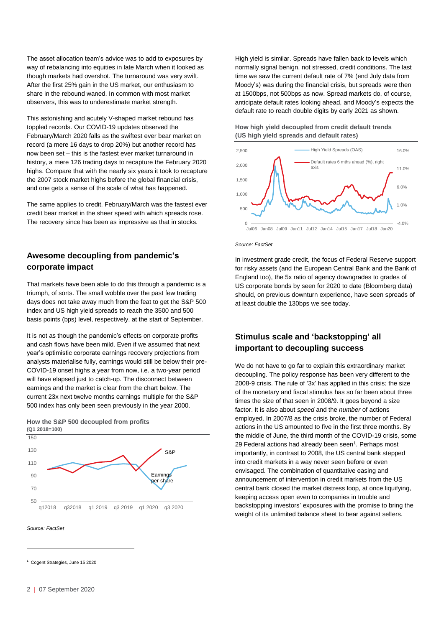The asset allocation team's advice was to add to exposures by way of rebalancing into equities in late March when it looked as though markets had overshot. The turnaround was very swift. After the first 25% gain in the US market, our enthusiasm to share in the rebound waned. In common with most market observers, this was to underestimate market strength.

This astonishing and acutely V-shaped market rebound has toppled records. Our COVID-19 updates observed the February/March 2020 falls as the swiftest ever bear market on record (a mere 16 days to drop 20%) but another record has now been set – this is the fastest ever market turnaround in history, a mere 126 trading days to recapture the February 2020 highs. Compare that with the nearly six years it took to recapture the 2007 stock market highs before the global financial crisis, and one gets a sense of the scale of what has happened.

The same applies to credit. February/March was the fastest ever credit bear market in the sheer speed with which spreads rose. The recovery since has been as impressive as that in stocks.

#### **Awesome decoupling from pandemic's corporate impact**

That markets have been able to do this through a pandemic is a triumph, of sorts. The small wobble over the past few trading days does not take away much from the feat to get the S&P 500 index and US high yield spreads to reach the 3500 and 500 basis points (bps) level, respectively, at the start of September.

It is not as though the pandemic's effects on corporate profits and cash flows have been mild. Even if we assumed that next year's optimistic corporate earnings recovery projections from analysts materialise fully, earnings would still be below their pre-COVID-19 onset highs a year from now, i.e. a two-year period will have elapsed just to catch-up. The disconnect between earnings and the market is clear from the chart below. The current 23x next twelve months earnings multiple for the S&P 500 index has only been seen previously in the year 2000.



**How the S&P 500 decoupled from profits**

*Source: FactSet*

-

High yield is similar. Spreads have fallen back to levels which normally signal benign, not stressed, credit conditions. The last time we saw the current default rate of 7% (end July data from Moody's) was during the financial crisis, but spreads were then at 1500bps, not 500bps as now. Spread markets do, of course, anticipate default rates looking ahead, and Moody's expects the default rate to reach double digits by early 2021 as shown.





*Source: FactSet*

In investment grade credit, the focus of Federal Reserve support for risky assets (and the European Central Bank and the Bank of England too), the 5x ratio of agency downgrades to grades of US corporate bonds by seen for 2020 to date (Bloomberg data) should, on previous downturn experience, have seen spreads of at least double the 130bps we see today.

#### **Stimulus scale and 'backstopping' all important to decoupling success**

We do not have to go far to explain this extraordinary market decoupling. The policy response has been very different to the 2008-9 crisis. The rule of '3x' has applied in this crisis; the size of the monetary and fiscal stimulus has so far been about three times the size of that seen in 2008/9. It goes beyond a size factor. It is also about *speed* and the *number* of actions employed. In 2007/8 as the crisis broke, the number of Federal actions in the US amounted to five in the first three months. By the middle of June, the third month of the COVID-19 crisis, some 29 Federal actions had already been seen<sup>1</sup>. Perhaps most importantly, in contrast to 2008, the US central bank stepped into credit markets in a way never seen before or even envisaged. The combination of quantitative easing and announcement of intervention in credit markets from the US central bank closed the market distress loop, at once liquifying, keeping access open even to companies in trouble and backstopping investors' exposures with the promise to bring the weight of its unlimited balance sheet to bear against sellers.

**<sup>1</sup>** Cogent Strategies, June 15 2020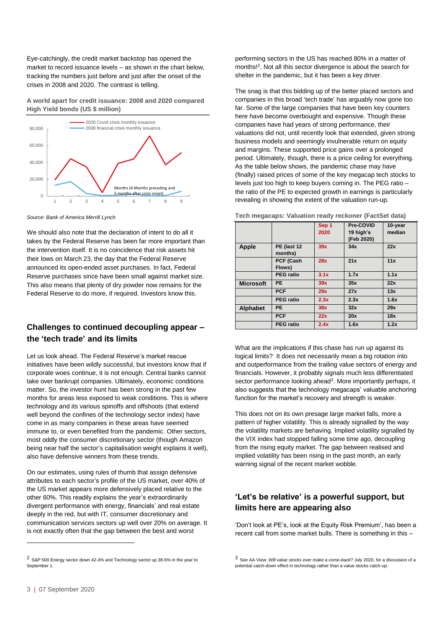Eye-catchingly, the credit market backstop has opened the market to record issuance levels – as shown in the chart below, tracking the numbers just before and just after the onset of the crises in 2008 and 2020. The contrast is telling.

**A world apart for credit issuance: 2008 and 2020 compared High Yield bonds (US \$ million)**



*Source: Bank of America Merrill Lynch*

We should also note that the declaration of intent to do all it takes by the Federal Reserve has been far more important than the intervention itself. It is no coincidence that risk assets hit their lows on March 23, the day that the Federal Reserve announced its open-ended asset purchases. In fact, Federal Reserve purchases since have been small against market size. This also means that plenty of dry powder now remains for the Federal Reserve to do more, if required. Investors know this.

#### **Challenges to continued decoupling appear – the 'tech trade' and its limits**

Let us look ahead. The Federal Reserve's market rescue initiatives have been wildly successful, but investors know that if corporate woes continue, it is not enough. Central banks cannot take over bankrupt companies. Ultimately, economic conditions matter. So, the investor hunt has been strong in the past few months for areas less exposed to weak conditions. This is where technology and its various spinoffs and offshoots (that extend well beyond the confines of the technology sector index) have come in as many companies in these areas have seemed immune to, or even benefited from the pandemic. Other sectors, most oddly the consumer discretionary sector (though Amazon being near half the sector's capitalisation weight explains it well), also have defensive winners from these trends.

On our estimates, using rules of thumb that assign defensive attributes to each sector's profile of the US market, over 40% of the US market appears more defensively placed relative to the other 60%. This readily explains the year's extraordinarily divergent performance with energy, financials' and real estate deeply in the red, but with IT, consumer discretionary and communication services sectors up well over 20% on average. It is not exactly often that the gap between the best and worst

<sup>2</sup> S&P 500 Energy sector down 42.4% and Technology sector up 38.6% in the year to September 1.

performing sectors in the US has reached 80% in a matter of months! 2 . Not all this sector divergence is about the search for shelter in the pandemic, but it has been a key driver.

The snag is that this bidding up of the better placed sectors and companies in this broad 'tech trade' has arguably now gone too far. Some of the large companies that have been key counters here have become overbought and expensive. Though these companies have had years of strong performance, their valuations did not, until recently look that extended, given strong business models and seemingly invulnerable return on equity and margins. These supported price gains over a prolonged period. Ultimately, though, there is a price ceiling for everything. As the table below shows, the pandemic chase may have (finally) raised prices of some of the key megacap tech stocks to levels just too high to keep buyers coming in. The PEG ratio – the ratio of the PE to expected growth in earnings is particularly revealing in showing the extent of the valuation run-up.

|                  |                  | Sep 1 | Pre-COVID  | 10-year |
|------------------|------------------|-------|------------|---------|
|                  |                  | 2020  | 19 high's  | median  |
|                  |                  |       | (Feb 2020) |         |
| <b>Apple</b>     | PE (last 12      | 39x   | 34x        | 22x     |
|                  | months)          |       |            |         |
|                  | PCF (Cash        | 28x   | 21x        | 11x     |
|                  | Flows)           |       |            |         |
|                  | <b>PEG</b> ratio | 3.1x  | 1.7x       | 1.1x    |
| <b>Microsoft</b> | PE.              | 39x   | 35x        | 22x     |
|                  | <b>PCF</b>       | 29x   | 27x        | 13x     |
|                  | <b>PEG</b> ratio | 2.3x  | 2.3x       | 1.6x    |
| <b>Alphabet</b>  | <b>PE</b>        | 38x   | 32x        | 29x     |
|                  | <b>PCF</b>       | 22x   | 20x        | 18x     |
|                  | <b>PEG</b> ratio | 2.4x  | 1.6x       | 1.2x    |

**Tech megacaps: Valuation ready reckoner (FactSet data)**

What are the implications if this chase has run up against its logical limits? It does not necessarily mean a big rotation into and outperformance from the trailing value sectors of energy and financials. However, it probably signals much less differentiated sector performance looking ahead<sup>3</sup>. More importantly perhaps, it also suggests that the technology megacaps' valuable anchoring function for the market's recovery and strength is weaker.

This does not on its own presage large market falls, more a pattern of higher volatility. This is already signalled by the way the volatility markets are behaving. Implied volatility signalled by the VIX index had stopped falling some time ago, decoupling from the rising equity market. The gap between realised and implied volatility has been rising in the past month, an early warning signal of the recent market wobble.

#### **'Let's be relative' is a powerful support, but limits here are appearing also**

'Don't look at PE's, look at the Equity Risk Premium', has been a recent call from some market bulls. There is something in this –

<sup>3</sup> See AA View: *Will value stocks ever make a come-back*? July 2020, for a discussion of a potential catch-down effect in technology rather than a value stocks catch-up.

-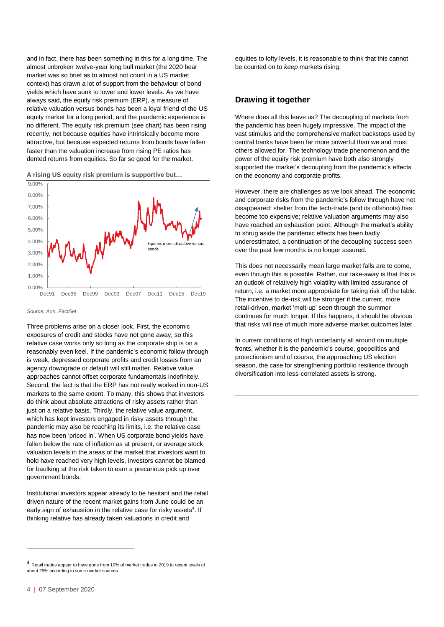and in fact, there has been something in this for a long time. The almost unbroken twelve-year long bull market (the 2020 bear market was so brief as to almost not count in a US market context) has drawn a lot of support from the behaviour of bond yields which have sunk to lower and lower levels. As we have always said, the equity risk premium (ERP), a measure of relative valuation versus bonds has been a loyal friend of the US equity market for a long period, and the pandemic experience is no different. The equity risk premium (see chart) has been rising recently, not because equities have intrinsically become more attractive, but because expected returns from bonds have fallen faster than the valuation increase from rising PE ratios has dented returns from equities. So far so good for the market.





*Source: Aon, FactSet*

Three problems arise on a closer look. First, the economic exposures of credit and stocks have not gone away, so this relative case works only so long as the corporate ship is on a reasonably even keel. If the pandemic's economic follow through is weak, depressed corporate profits and credit losses from an agency downgrade or default will still matter. Relative value approaches cannot offset corporate fundamentals indefinitely. Second, the fact is that the ERP has not really worked in non-US markets to the same extent. To many, this shows that investors do think about absolute attractions of risky assets rather than just on a relative basis. Thirdly, the relative value argument, which has kept investors engaged in risky assets through the pandemic may also be reaching its limits, i.e. the relative case has now been 'priced in'. When US corporate bond yields have fallen below the rate of inflation as at present, or average stock valuation levels in the areas of the market that investors want to hold have reached very high levels, investors cannot be blamed for baulking at the risk taken to earn a precarious pick up over government bonds.

Institutional investors appear already to be hesitant and the retail driven nature of the recent market gains from June could be an early sign of exhaustion in the relative case for risky assets<sup>4</sup>. If thinking relative has already taken valuations in credit and

-

equities to lofty levels, it is reasonable to think that this cannot be counted on to *keep* markets rising.

#### **Drawing it together**

Where does all this leave us? The decoupling of markets from the pandemic has been hugely impressive. The impact of the vast stimulus and the comprehensive market backstops used by central banks have been far more powerful than we and most others allowed for. The technology trade phenomenon and the power of the equity risk premium have both also strongly supported the market's decoupling from the pandemic's effects on the economy and corporate profits.

However, there are challenges as we look ahead. The economic and corporate risks from the pandemic's follow through have not disappeared; shelter from the tech-trade (and its offshoots) has become too expensive; relative valuation arguments may also have reached an exhaustion point. Although the market's ability to shrug aside the pandemic effects has been badly underestimated, a continuation of the decoupling success seen over the past few months is no longer assured.

This does not necessarily mean large market falls are to come, even though this is possible. Rather, our take-away is that this is an outlook of relatively high volatility with limited assurance of return, i.e. a market more appropriate for taking risk off the table. The incentive to de-risk will be stronger if the current, more retail-driven, market 'melt-up' seen through the summer continues for much longer. If this happens, it should be obvious that risks will rise of much more adverse market outcomes later.

In current conditions of high uncertainty all around on multiple fronts, whether it is the pandemic's course, geopolitics and protectionism and of course, the approaching US election season, the case for strengthening portfolio resilience through diversification into less-correlated assets is strong.

<sup>4</sup> Retail trades appear to have gone from 10% of market trades in 2019 to recent levels of about 25% according to some market sources.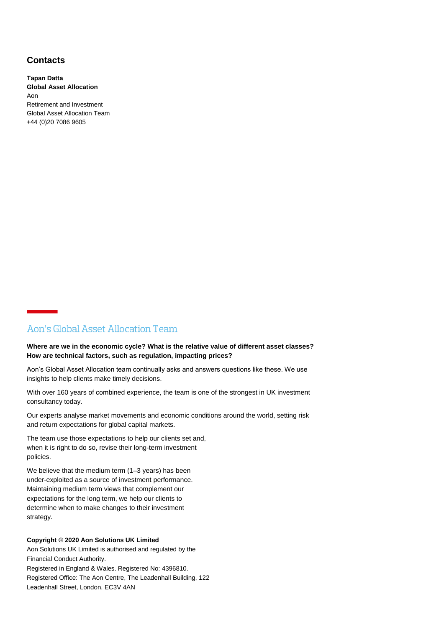#### **Contacts**

**Tapan Datta Global Asset Allocation** Aon Retirement and Investment Global Asset Allocation Team +44 (0)20 7086 9605

#### Aon's Global Asset Allocation Team

#### **Where are we in the economic cycle? What is the relative value of different asset classes? How are technical factors, such as regulation, impacting prices?**

Aon's Global Asset Allocation team continually asks and answers questions like these. We use insights to help clients make timely decisions.

With over 160 years of combined experience, the team is one of the strongest in UK investment consultancy today.

Our experts analyse market movements and economic conditions around the world, setting risk and return expectations for global capital markets.

The team use those expectations to help our clients set and, when it is right to do so, revise their long-term investment policies.

We believe that the medium term (1–3 years) has been under-exploited as a source of investment performance. Maintaining medium term views that complement our expectations for the long term, we help our clients to determine when to make changes to their investment strategy.

#### **Copyright © 2020 Aon Solutions UK Limited**

Aon Solutions UK Limited is authorised and regulated by the Financial Conduct Authority. Registered in England & Wales. Registered No: 4396810. Registered Office: The Aon Centre, The Leadenhall Building, 122 Leadenhall Street, London, EC3V 4AN